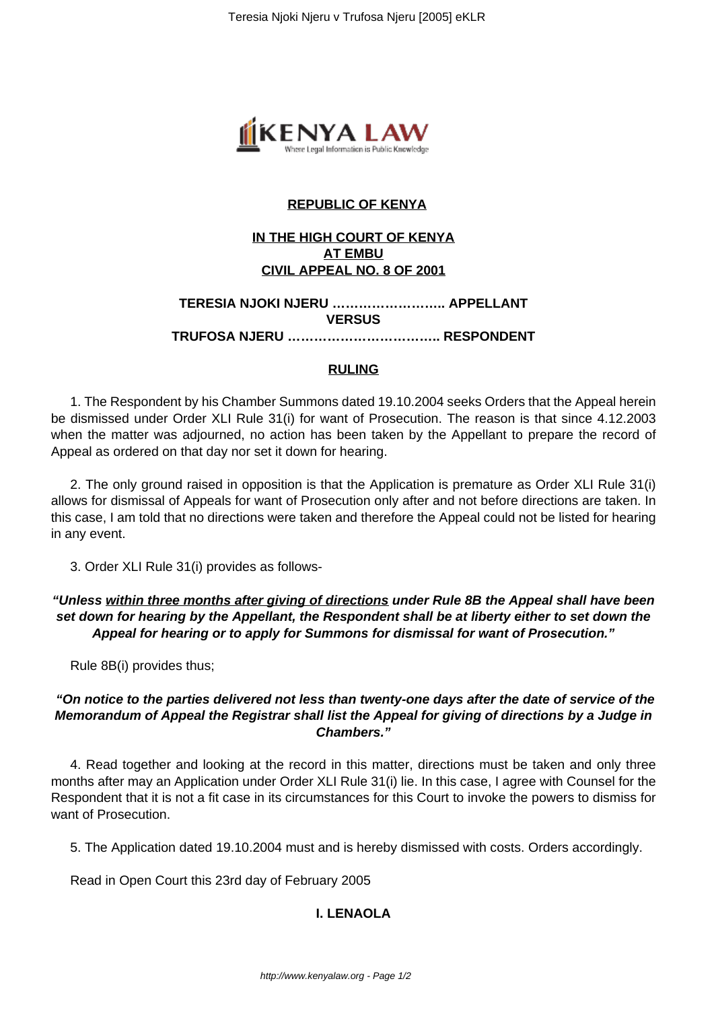

# **REPUBLIC OF KENYA**

# **IN THE HIGH COURT OF KENYA AT EMBU CIVIL APPEAL NO. 8 OF 2001**

#### **TERESIA NJOKI NJERU …………………….. APPELLANT VERSUS TRUFOSA NJERU …………………………….. RESPONDENT**

#### **RULING**

1. The Respondent by his Chamber Summons dated 19.10.2004 seeks Orders that the Appeal herein be dismissed under Order XLI Rule 31(i) for want of Prosecution. The reason is that since 4.12.2003 when the matter was adjourned, no action has been taken by the Appellant to prepare the record of Appeal as ordered on that day nor set it down for hearing.

2. The only ground raised in opposition is that the Application is premature as Order XLI Rule 31(i) allows for dismissal of Appeals for want of Prosecution only after and not before directions are taken. In this case, I am told that no directions were taken and therefore the Appeal could not be listed for hearing in any event.

3. Order XLI Rule 31(i) provides as follows-

**"Unless within three months after giving of directions under Rule 8B the Appeal shall have been set down for hearing by the Appellant, the Respondent shall be at liberty either to set down the Appeal for hearing or to apply for Summons for dismissal for want of Prosecution."**

Rule 8B(i) provides thus;

## **"On notice to the parties delivered not less than twenty-one days after the date of service of the Memorandum of Appeal the Registrar shall list the Appeal for giving of directions by a Judge in Chambers."**

4. Read together and looking at the record in this matter, directions must be taken and only three months after may an Application under Order XLI Rule 31(i) lie. In this case, I agree with Counsel for the Respondent that it is not a fit case in its circumstances for this Court to invoke the powers to dismiss for want of Prosecution.

5. The Application dated 19.10.2004 must and is hereby dismissed with costs. Orders accordingly.

Read in Open Court this 23rd day of February 2005

# **I. LENAOLA**